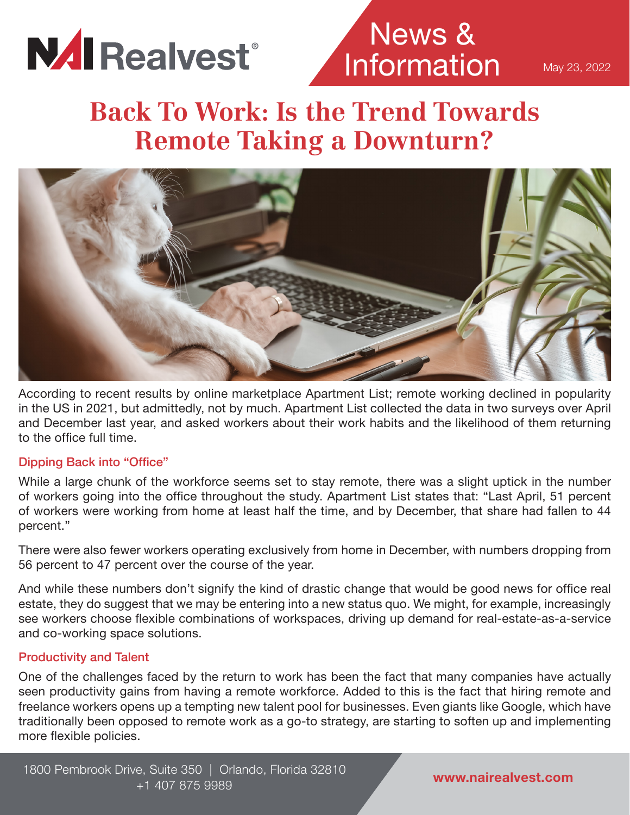

News & Information

May 23, 2022

# **Back To Work: Is the Trend Towards Remote Taking a Downturn?**



According to recent results by online marketplace Apartment List; remote working declined in popularity in the US in 2021, but admittedly, not by much. Apartment List collected the data in two surveys over April and December last year, and asked workers about their work habits and the likelihood of them returning to the office full time.

### Dipping Back into "Office"

While a large chunk of the workforce seems set to stay remote, there was a slight uptick in the number of workers going into the office throughout the study. Apartment List states that: "Last April, 51 percent of workers were working from home at least half the time, and by December, that share had fallen to 44 percent."

There were also fewer workers operating exclusively from home in December, with numbers dropping from 56 percent to 47 percent over the course of the year.

And while these numbers don't signify the kind of drastic change that would be good news for office real estate, they do suggest that we may be entering into a new status quo. We might, for example, increasingly see workers choose flexible combinations of workspaces, driving up demand for real-estate-as-a-service and co-working space solutions.

### Productivity and Talent

One of the challenges faced by the return to work has been the fact that many companies have actually seen productivity gains from having a remote workforce. Added to this is the fact that hiring remote and freelance workers opens up a tempting new talent pool for businesses. Even giants like Google, which have traditionally been opposed to remote work as a go-to strategy, are starting to soften up and implementing more flexible policies.